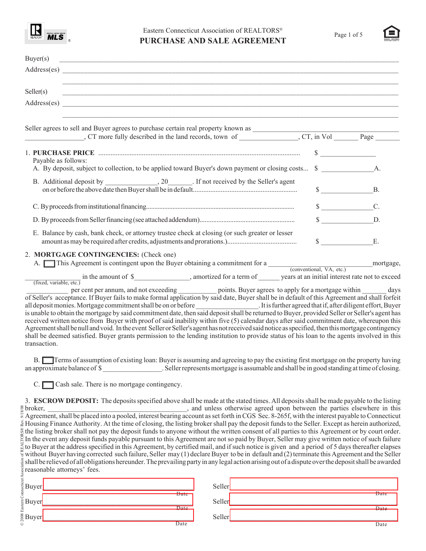

## Eastern Connecticut Association of REALTORS® **PURCHASE AND SALE AGREEMENT**



| Buyer(s)                                                                                                                                                                                                                                                                                                                                                                                                                                                                               |                 |
|----------------------------------------------------------------------------------------------------------------------------------------------------------------------------------------------------------------------------------------------------------------------------------------------------------------------------------------------------------------------------------------------------------------------------------------------------------------------------------------|-----------------|
| Address(es)                                                                                                                                                                                                                                                                                                                                                                                                                                                                            |                 |
| Seller(s)                                                                                                                                                                                                                                                                                                                                                                                                                                                                              |                 |
|                                                                                                                                                                                                                                                                                                                                                                                                                                                                                        |                 |
|                                                                                                                                                                                                                                                                                                                                                                                                                                                                                        |                 |
|                                                                                                                                                                                                                                                                                                                                                                                                                                                                                        |                 |
| Payable as follows:                                                                                                                                                                                                                                                                                                                                                                                                                                                                    | $\sim$          |
| A. By deposit, subject to collection, to be applied toward Buyer's down payment or closing costs \$                                                                                                                                                                                                                                                                                                                                                                                    |                 |
|                                                                                                                                                                                                                                                                                                                                                                                                                                                                                        | $\S$ B.         |
|                                                                                                                                                                                                                                                                                                                                                                                                                                                                                        | $S$ C.          |
|                                                                                                                                                                                                                                                                                                                                                                                                                                                                                        | $\Omega$ D.     |
| E. Balance by cash, bank check, or attorney trustee check at closing (or such greater or lesser                                                                                                                                                                                                                                                                                                                                                                                        | $\mathbb{S}$ E. |
| 2. MORTGAGE CONTINGENCIES: (Check one)<br>A. This Agreement is contingent upon the Buyer obtaining a commitment for a<br>(conventional, VA, etc.) mortgage,                                                                                                                                                                                                                                                                                                                            |                 |
| in the amount of \$____________________, amortized for a term of _______ years at an initial interest rate not to exceed<br>(fixed, variable, etc.)                                                                                                                                                                                                                                                                                                                                    |                 |
| per cent per annum, and not exceeding ____________ points. Buyer agrees to apply for a mortgage within _______ days<br>of Seller's acceptance. If Buyer fails to make formal application by said date, Buyer shall be in default of this Agreement and shall forfeit<br>all deposit monies. Mortgage commitment shall be on or before<br>is unable to obtain the mortgage by said commitment date, then said deposit shall be returned to Buyer, provided Seller or Seller's agent has |                 |

is unable to obtain the mortgage by said commitment date, then said deposit shall be returned to Buyer, provided Seller or Seller's agent has received written notice from Buyer with proof of said inability within five (5) calendar days after said commitment date, whereupon this Agreement shall be null and void. In the event Seller or Seller's agent has not received said notice as specified, then this mortgage contingency shall be deemed satisfied. Buyer grants permission to the lending institution to provide status of his loan to the agents involved in this transaction.

B. Terms of assumption of existing loan: Buyer is assuming and agreeing to pay the existing first mortgage on the property having an approximate balance of \$ ... Seller represents mortgage is assumable and shall be in good standing at time of closing.

 $C.$   $\Box$  Cash sale. There is no mortgage contingency.

© 2008 Eastern Connecticut Association of REALTORS® Rev. 9/18/08 3. **ESCROW DEPOSIT:** The deposits specified above shall be made at the stated times. All deposits shall be made payable to the listing  $\frac{20}{30}$  broker, \_\_\_\_\_\_\_\_\_\_\_\_\_\_\_\_\_\_\_\_\_\_\_\_\_\_\_\_\_\_\_\_\_\_\_, and unless otherwise agreed upon between the parties elsewhere in this  $\frac{1}{2}$  Agreement, shall be placed into a pooled, interest bearing account as set forth in CGS Sec. 8-265f, with the interest payable to Connecticut Housing Finance Authority. At the time of closing, the listing broker shall pay the deposit funds to the Seller. Except as herein authorized, the listing broker shall not pay the deposit funds to anyone without the written consent of all parties to this Agreement or by court order.  $\frac{1}{2}$  In the event any deposit funds payable pursuant to this Agreement are not so paid by Buyer, Seller may give written notice of such failure  $\frac{1}{2}$  to Buyer at the address specified in this Agreement, by certified mail, and if such notice is given and a period of 5 days thereafter elapses without Buyer having corrected such failure, Seller may (1) declare Buyer to be in default and (2) terminate this Agreement and the Seller shall be relieved of all obligations hereunder. The prevailing party in any legal action arising out of a dispute over the deposit shall be awarded reasonable attorneys' fees.

| agus<br>England<br>England<br>England<br>Sol<br>Buyer |                   | Seller |      |
|-------------------------------------------------------|-------------------|--------|------|
|                                                       | Date              |        | Date |
|                                                       |                   | Seller |      |
|                                                       | Date              |        | Date |
|                                                       |                   | Seller |      |
| $\odot$                                               | $\overline{Date}$ |        | Date |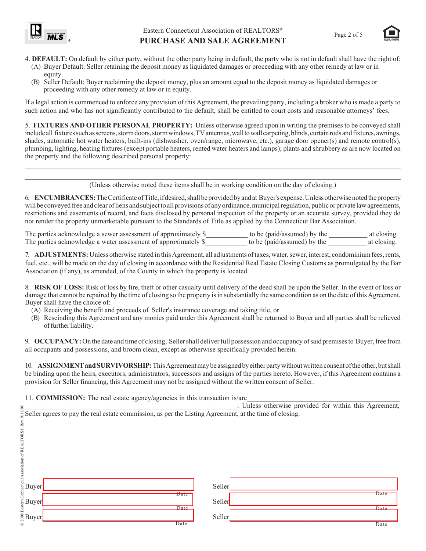



- 4. **DEFAULT:** On default by either party, without the other party being in default, the party who is not in default shall have the right of:
	- (A) Buyer Default: Seller retaining the deposit money as liquidated damages or proceeding with any other remedy at law or in equity.
	- (B) Seller Default: Buyer reclaiming the deposit money, plus an amount equal to the deposit money as liquidated damages or proceeding with any other remedy at law or in equity.

If a legal action is commenced to enforce any provision of this Agreement, the prevailing party, including a broker who is made a party to such action and who has not significantly contributed to the default, shall be entitled to court costs and reasonable attorneys' fees.

5. **FIXTURES AND OTHER PERSONAL PROPERTY:** Unless otherwise agreed upon in writing the premises to be conveyed shall include all fixtures such as screens, storm doors, storm windows, TV antennas, wall to wall carpeting, blinds, curtain rods and fixtures, awnings, shades, automatic hot water heaters, built-ins (dishwasher, oven/range, microwave, etc.), garage door opener(s) and remote control(s), plumbing, lighting, heating fixtures (except portable heaters, rented water heaters and lamps); plants and shrubbery as are now located on the property and the following described personal property:

 $\mathcal{L}_\mathcal{L} = \{ \mathcal{L}_\mathcal{L} = \{ \mathcal{L}_\mathcal{L} = \{ \mathcal{L}_\mathcal{L} = \{ \mathcal{L}_\mathcal{L} = \{ \mathcal{L}_\mathcal{L} = \{ \mathcal{L}_\mathcal{L} = \{ \mathcal{L}_\mathcal{L} = \{ \mathcal{L}_\mathcal{L} = \{ \mathcal{L}_\mathcal{L} = \{ \mathcal{L}_\mathcal{L} = \{ \mathcal{L}_\mathcal{L} = \{ \mathcal{L}_\mathcal{L} = \{ \mathcal{L}_\mathcal{L} = \{ \mathcal{L}_\mathcal{$ (Unless otherwise noted these items shall be in working condition on the day of closing.)

 $\_$  ,  $\_$  ,  $\_$  ,  $\_$  ,  $\_$  ,  $\_$  ,  $\_$  ,  $\_$  ,  $\_$  ,  $\_$  ,  $\_$  ,  $\_$  ,  $\_$  ,  $\_$  ,  $\_$  ,  $\_$  ,  $\_$  ,  $\_$  ,  $\_$  ,  $\_$  ,  $\_$  ,  $\_$  ,  $\_$  ,  $\_$  ,  $\_$  ,  $\_$  ,  $\_$  ,  $\_$  ,  $\_$  ,  $\_$  ,  $\_$  ,  $\_$  ,  $\_$  ,  $\_$  ,  $\_$  ,  $\_$  ,  $\_$  ,

6. **ENCUMBRANCES:** The Certificate of Title, if desired, shall be provided by and at Buyer's expense. Unless otherwise noted the property will be conveyed free and clear of liens and subject to all provisions of any ordinance, municipal regulation, public or private law agreements, restrictions and easements of record, and facts disclosed by personal inspection of the property or an accurate survey, provided they do not render the property unmarketable pursuant to the Standards of Title as applied by the Connecticut Bar Association.

The parties acknowledge a sewer assessment of approximately \$\_\_\_\_\_\_\_\_\_\_\_ to be (paid/assumed) by the \_\_\_\_\_\_\_\_\_\_ at closing.<br>The parties acknowledge a water assessment of approximately \$\_\_\_\_\_\_\_\_\_\_\_ to be (paid/assumed) by t The parties acknowledge a water assessment of approximately  $\beta$  and to be (paid/assumed) by the at closing.

7. **ADJUSTMENTS:** Unless otherwise stated in this Agreement, all adjustments of taxes, water, sewer, interest, condominium fees, rents, fuel, etc., will be made on the day of closing in accordance with the Residential Real Estate Closing Customs as promulgated by the Bar Association (if any), as amended, of the County in which the property is located.

8. **RISK OF LOSS:** Risk of loss by fire, theft or other casualty until delivery of the deed shall be upon the Seller. In the event of loss or damage that cannot be repaired by the time of closing so the property is in substantially the same condition as on the date of this Agreement, Buyer shall have the choice of:

- (A) Receiving the benefit and proceeds of Seller's insurance coverage and taking title, or
- (B) Rescinding this Agreement and any monies paid under this Agreement shall be returned to Buyer and all parties shall be relieved of further liability.

9. **OCCUPANCY:** On the date and time of closing, Seller shall deliver full possession and occupancy of said premises to Buyer, free from all occupants and possessions, and broom clean, except as otherwise specifically provided herein.

10. **ASSIGNMENT and SURVIVORSHIP:** This Agreement may be assigned by either party without written consent of the other, but shall be binding upon the heirs, executors, administrators, successors and assigns of the parties hereto. However, if this Agreement contains a provision for Seller financing, this Agreement may not be assigned without the written consent of Seller.

11. **COMMISSION:** The real estate agency/agencies in this transaction is/are

| ⊗                                                                                                                    | . Unless otherwise provided for within this Agreement, |
|----------------------------------------------------------------------------------------------------------------------|--------------------------------------------------------|
| $\frac{8}{5}$ Seller agrees to pay the real estate commission, as per the Listing Agreement, at the time of closing. |                                                        |
|                                                                                                                      |                                                        |
| ORS@                                                                                                                 |                                                        |
|                                                                                                                      |                                                        |
|                                                                                                                      |                                                        |
|                                                                                                                      |                                                        |
|                                                                                                                      |                                                        |
|                                                                                                                      |                                                        |

|                                                                                   |                                                                                                                      | . Offices otherwise provided for within this Agreement |      |
|-----------------------------------------------------------------------------------|----------------------------------------------------------------------------------------------------------------------|--------------------------------------------------------|------|
|                                                                                   | $\frac{8}{3}$ Seller agrees to pay the real estate commission, as per the Listing Agreement, at the time of closing. |                                                        |      |
|                                                                                   |                                                                                                                      |                                                        |      |
|                                                                                   |                                                                                                                      |                                                        |      |
|                                                                                   |                                                                                                                      |                                                        |      |
|                                                                                   |                                                                                                                      |                                                        |      |
|                                                                                   |                                                                                                                      |                                                        |      |
|                                                                                   |                                                                                                                      |                                                        |      |
|                                                                                   |                                                                                                                      |                                                        |      |
| Rex Eastern Connecticut Association of REALITORS® Rex<br>2008<br>Buyer_<br>Buyer_ |                                                                                                                      |                                                        |      |
|                                                                                   | Date                                                                                                                 | Seller                                                 | Date |
|                                                                                   |                                                                                                                      |                                                        |      |
|                                                                                   |                                                                                                                      | Seller                                                 |      |
|                                                                                   | Date                                                                                                                 |                                                        | Date |
|                                                                                   |                                                                                                                      | Seller                                                 |      |
| $\odot$                                                                           | Date                                                                                                                 |                                                        | Date |
|                                                                                   |                                                                                                                      |                                                        |      |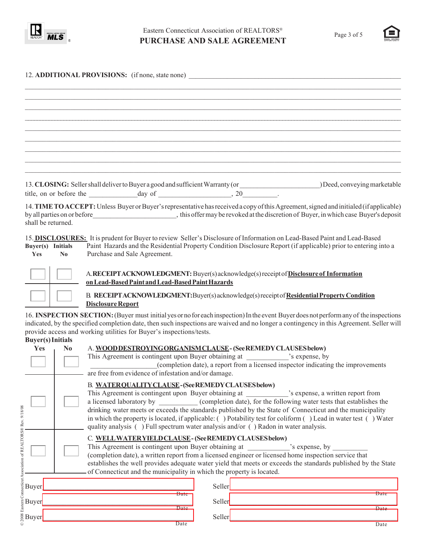

© 2008 Eastern Connecticut Association of REALTORS® Rev. 9/18/08

© 2008 Eastern Connecticut Association of REALTORS® Rev. 9/18/08



|                                                          | 12. ADDITIONAL PROVISIONS: (if none, state none)                                                                                                                                                                                                                                                                                                                                                                                                                                   |                                                                                   |
|----------------------------------------------------------|------------------------------------------------------------------------------------------------------------------------------------------------------------------------------------------------------------------------------------------------------------------------------------------------------------------------------------------------------------------------------------------------------------------------------------------------------------------------------------|-----------------------------------------------------------------------------------|
|                                                          |                                                                                                                                                                                                                                                                                                                                                                                                                                                                                    |                                                                                   |
|                                                          |                                                                                                                                                                                                                                                                                                                                                                                                                                                                                    |                                                                                   |
|                                                          |                                                                                                                                                                                                                                                                                                                                                                                                                                                                                    |                                                                                   |
|                                                          |                                                                                                                                                                                                                                                                                                                                                                                                                                                                                    |                                                                                   |
|                                                          |                                                                                                                                                                                                                                                                                                                                                                                                                                                                                    |                                                                                   |
|                                                          |                                                                                                                                                                                                                                                                                                                                                                                                                                                                                    |                                                                                   |
|                                                          | 13. CLOSING: Seller shall deliver to Buyer a good and sufficient Warranty (or _____________________________ Deed, conveying marketable                                                                                                                                                                                                                                                                                                                                             |                                                                                   |
| shall be returned.                                       | 14. TIME TO ACCEPT: Unless Buyer or Buyer's representative has received a copy of this Agreement, signed and initialed (if applicable)<br>by all parties on or before_________________________, this offer may be revoked at the discretion of Buyer, in which case Buyer's deposit                                                                                                                                                                                                |                                                                                   |
| Buyer(s) Initials<br>Yes<br>$\mathbf{N}\mathbf{0}$       | 15. DISCLOSURES: It is prudent for Buyer to review Seller's Disclosure of Information on Lead-Based Paint and Lead-Based<br>Paint Hazards and the Residential Property Condition Disclosure Report (if applicable) prior to entering into a<br>Purchase and Sale Agreement.                                                                                                                                                                                                        |                                                                                   |
|                                                          | A.RECEIPTACKNOWLEDGMENT: Buyer(s) acknowledge(s) receipt of Disclosure of Information<br>on Lead-Based Paint and Lead-Based Paint Hazards                                                                                                                                                                                                                                                                                                                                          |                                                                                   |
|                                                          | B. RECEIPTACKNOWLEDGMENT: Buyer(s) acknowledge(s) receipt of Residential Property Condition<br><b>Disclosure Report</b>                                                                                                                                                                                                                                                                                                                                                            |                                                                                   |
|                                                          | 16. INSPECTION SECTION: (Buyer must initial yes or no for each inspection) In the event Buyer does not perform any of the inspections<br>indicated, by the specified completion date, then such inspections are waived and no longer a contingency in this Agreement. Seller will<br>provide access and working utilities for Buyer's inspections/tests.                                                                                                                           |                                                                                   |
| <b>Buyer(s)</b> Initials<br><b>Yes</b><br>N <sub>0</sub> | A. WOODDESTROYINGORGANISMCLAUSE- (See REMEDY CLAUSES below)                                                                                                                                                                                                                                                                                                                                                                                                                        |                                                                                   |
|                                                          | are free from evidence of infestation and/or damage.                                                                                                                                                                                                                                                                                                                                                                                                                               | (completion date), a report from a licensed inspector indicating the improvements |
|                                                          | B. WATERQUALITYCLAUSE-(SeeREMEDYCLAUSES below)<br>a licensed laboratory by ___________ (completion date), for the following water tests that establishes the<br>drinking water meets or exceeds the standards published by the State of Connecticut and the municipality<br>in which the property is located, if applicable: () Potability test for coliform () Lead in water test () Water<br>quality analysis () Full spectrum water analysis and/or () Radon in water analysis. |                                                                                   |
|                                                          | C. WELLWATERYIELDCLAUSE-(SeeREMEDYCLAUSES below)<br>(completion date), a written report from a licensed engineer or licensed home inspection service that<br>establishes the well provides adequate water yield that meets or exceeds the standards published by the State<br>of Connecticut and the municipality in which the property is located.                                                                                                                                |                                                                                   |
| Buyer                                                    | <u> 1980 - Johann Barbara, martxa alemaniar arg</u>                                                                                                                                                                                                                                                                                                                                                                                                                                |                                                                                   |
| Buyer_                                                   | $\overline{\text{Date}}$<br><u> 1989 - Johann John Stone, mars eta bat eta bat eta bat eta bat eta bat eta bat eta bat eta bat eta bat eta b</u>                                                                                                                                                                                                                                                                                                                                   | Date                                                                              |
| Buyer                                                    | $\overline{Date}$                                                                                                                                                                                                                                                                                                                                                                                                                                                                  | Date                                                                              |
|                                                          | $\overline{Date}$                                                                                                                                                                                                                                                                                                                                                                                                                                                                  | Date                                                                              |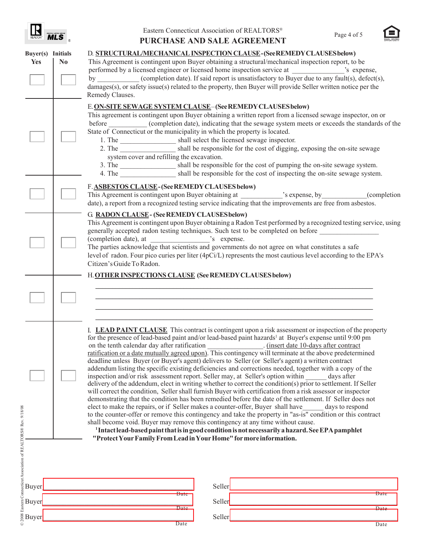| <b>REALTOR</b> | <b>TIPLE LISTING SE</b> |  |
|----------------|-------------------------|--|
|                |                         |  |



| Buyer(s) Initials<br><b>Yes</b> | N <sub>0</sub> | D. STRUCTURAL/MECHANICAL INSPECTION CLAUSE-(SeeREMEDY CLAUSES below)<br>This Agreement is contingent upon Buyer obtaining a structural/mechanical inspection report, to be                                                                                                                                                                                                                                                                                                                                                                                                                                                                                                                                                                                                                                                                                                                                                                                                                                                                                                                                                                                                                                                                                                                                                                                                              |
|---------------------------------|----------------|-----------------------------------------------------------------------------------------------------------------------------------------------------------------------------------------------------------------------------------------------------------------------------------------------------------------------------------------------------------------------------------------------------------------------------------------------------------------------------------------------------------------------------------------------------------------------------------------------------------------------------------------------------------------------------------------------------------------------------------------------------------------------------------------------------------------------------------------------------------------------------------------------------------------------------------------------------------------------------------------------------------------------------------------------------------------------------------------------------------------------------------------------------------------------------------------------------------------------------------------------------------------------------------------------------------------------------------------------------------------------------------------|
|                                 |                | performed by a licensed engineer or licensed home inspection service at<br>S expense,<br>by (completion date). If said report is unsatisfactory to Buyer due to any fault(s), defect(s),<br>damages(s), or safety issue(s) related to the property, then Buyer will provide Seller written notice per the<br>Remedy Clauses.                                                                                                                                                                                                                                                                                                                                                                                                                                                                                                                                                                                                                                                                                                                                                                                                                                                                                                                                                                                                                                                            |
|                                 |                | E. ON-SITE SEWAGE SYSTEM CLAUSE-(See REMEDY CLAUSES below)<br>This agreement is contingent upon Buyer obtaining a written report from a licensed sewage inspector, on or<br>before _____________(completion date), indicating that the sewage system meets or exceeds the standards of the<br>State of Connecticut or the municipality in which the property is located.<br>1. The _____________________ shall select the licensed sewage inspector.<br>2. The shall be responsible for the cost of digging, exposing the on-site sewage<br>system cover and refilling the excavation.<br>3. The _____________________ shall be responsible for the cost of pumping the on-site sewage system.<br>4. The shall be responsible for the cost of inspecting the on-site sewage system.                                                                                                                                                                                                                                                                                                                                                                                                                                                                                                                                                                                                     |
|                                 |                | F. ASBESTOS CLAUSE-(See REMEDY CLAUSES below)<br>date), a report from a recognized testing service indicating that the improvements are free from asbestos.                                                                                                                                                                                                                                                                                                                                                                                                                                                                                                                                                                                                                                                                                                                                                                                                                                                                                                                                                                                                                                                                                                                                                                                                                             |
|                                 |                | <b>G RADON CLAUSE - (See REMEDY CLAUSES below)</b><br>This Agreement is contingent upon Buyer obtaining a Radon Test performed by a recognized testing service, using<br>generally accepted radon testing techniques. Such test to be completed on before<br>The parties acknowledge that scientists and governments do not agree on what constitutes a safe<br>level of radon. Four pico curies per liter (4pCi/L) represents the most cautious level according to the EPA's<br>Citizen's Guide To Radon.                                                                                                                                                                                                                                                                                                                                                                                                                                                                                                                                                                                                                                                                                                                                                                                                                                                                              |
|                                 |                | H. OTHER INSPECTIONS CLAUSE (See REMEDY CLAUSES below)                                                                                                                                                                                                                                                                                                                                                                                                                                                                                                                                                                                                                                                                                                                                                                                                                                                                                                                                                                                                                                                                                                                                                                                                                                                                                                                                  |
|                                 |                | I. LEAD PAINT CLAUSE This contract is contingent upon a risk assessment or inspection of the property<br>for the presence of lead-based paint and/or lead-based paint hazards <sup>1</sup> at Buyer's expense until 9:00 pm<br>deadline unless Buyer (or Buyer's agent) delivers to Seller (or Seller's agent) a written contract<br>addendum listing the specific existing deficiencies and corrections needed, together with a copy of the<br>inspection and/or risk assessment report. Seller may, at Seller's option within<br>days after<br>delivery of the addendum, elect in writing whether to correct the condition(s) prior to settlement. If Seller<br>will correct the condition, Seller shall furnish Buyer with certification from a risk assessor or inspector<br>demonstrating that the condition has been remedied before the date of the settlement. If Seller does not<br>elect to make the repairs, or if Seller makes a counter-offer, Buyer shall have<br>days to respond<br>to the counter-offer or remove this contingency and take the property in "as-is" condition or this contract<br>shall become void. Buyer may remove this contingency at any time without cause.<br><sup>1</sup> Intact lead-based paint that is in good condition is not necessarily a hazard. See EPA pamphlet<br>"Protect Your Family From Lead in Your Home" for more information. |
|                                 |                |                                                                                                                                                                                                                                                                                                                                                                                                                                                                                                                                                                                                                                                                                                                                                                                                                                                                                                                                                                                                                                                                                                                                                                                                                                                                                                                                                                                         |
|                                 |                | Seller<br><u> 1989 - Johann Barbara, martxa alemaniar a</u><br><u> 1989 - Johann John Stone, mars eta biztanleria (h. 1989).</u><br>Date<br>Date<br><u> 1989 - Johann Barbara, martxa amerikan personal (h. 1989).</u><br>Seller                                                                                                                                                                                                                                                                                                                                                                                                                                                                                                                                                                                                                                                                                                                                                                                                                                                                                                                                                                                                                                                                                                                                                        |
|                                 |                | $\overline{Date}$<br>Date<br><u> 1989 - Johann Barn, mars an t-Amerikaansk komponister (</u><br>Seller<br><u> 1989 - Johann John Stone, mars eta biztanleria (h. 1989).</u>                                                                                                                                                                                                                                                                                                                                                                                                                                                                                                                                                                                                                                                                                                                                                                                                                                                                                                                                                                                                                                                                                                                                                                                                             |
|                                 |                | Date<br>Date                                                                                                                                                                                                                                                                                                                                                                                                                                                                                                                                                                                                                                                                                                                                                                                                                                                                                                                                                                                                                                                                                                                                                                                                                                                                                                                                                                            |